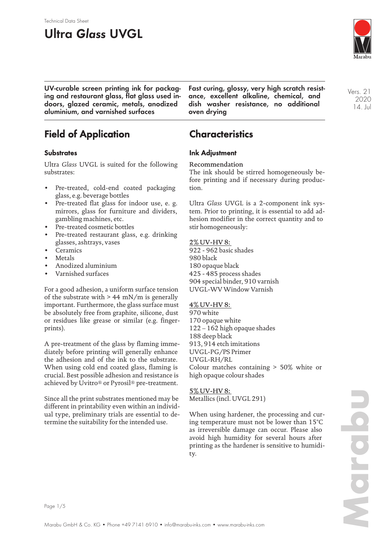# **Ultra Glass UVGL**

Technical Data Sheet



**UV-curable screen printing ink for packaging and restaurant glass, flat glass used indoors, glazed ceramic, metals, anodized aluminium, and varnished surfaces**

**Fast curing, glossy, very high scratch resistance, excellent alkaline, chemical, and dish washer resistance, no additional oven drying**

Vers. 21 2020 14. Jul

## **Field of Application**

### **Substrates**

Ultra *Glass* UVGL is suited for the following substrates:

- Pre-treated, cold-end coated packaging glass, e.g. beverage bottles
- Pre-treated flat glass for indoor use, e. g. mirrors, glass for furniture and dividers, gambling machines, etc.
- Pre-treated cosmetic bottles
- Pre-treated restaurant glass, e.g. drinking glasses, ashtrays, vases
- Ceramics
- **Metals**
- Anodized aluminium
- Varnished surfaces

For a good adhesion, a uniform surface tension of the substrate with  $> 44$  mN/m is generally important. Furthermore, the glass surface must be absolutely free from graphite, silicone, dust or residues like grease or similar (e.g. fingerprints).

A pre-treatment of the glass by flaming immediately before printing will generally enhance the adhesion and of the ink to the substrate. When using cold end coated glass, flaming is crucial. Best possible adhesion and resistance is achieved by Uvitro® or Pyrosil® pre-treatment.

Since all the print substrates mentioned may be different in printability even within an individual type, preliminary trials are essential to determine the suitability for the intended use.

## **Characteristics**

### **Ink Adjustment**

#### Recommendation

The ink should be stirred homogeneously before printing and if necessary during production.

Ultra *Glass* UVGL is a 2-component ink system. Prior to printing, it is essential to add adhesion modifier in the correct quantity and to stir homogeneously:

#### 2% UV-HV 8:

922 - 962 basic shades 980 black 180 opaque black 425 - 485 process shades 904 special binder, 910 varnish UVGL-WV Window Varnish

#### 4% UV-HV 8:

970 white 170 opaque white 122 – 162 high opaque shades 188 deep black 913, 914 etch imitations UVGL-PG/PS Primer UVGL-RH/RL Colour matches containing > 50% white or high opaque colour shades

5% UV-HV 8: Metallics (incl. UVGL 291)

When using hardener, the processing and curing temperature must not be lower than 15°C as irreversible damage can occur. Please also avoid high humidity for several hours after printing as the hardener is sensitive to humidity.

**Marabu**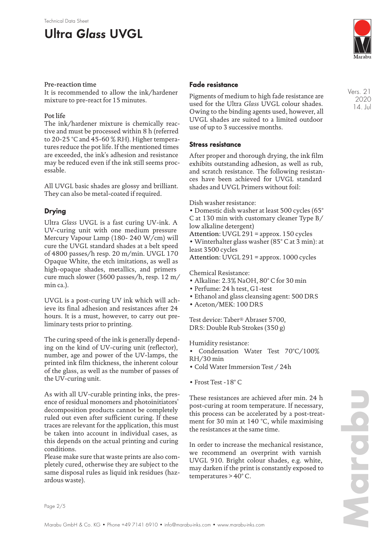#### Technical Data Sheet

## **Ultra Glass UVGL**

#### Pre-reaction time

It is recommended to allow the ink/hardener mixture to pre-react for 15 minutes.

#### Pot life

The ink/hardener mixture is chemically reactive and must be processed within 8 h (referred to 20-25 °C and 45-60 % RH). Higher temperatures reduce the pot life. If the mentioned times are exceeded, the ink's adhesion and resistance may be reduced even if the ink still seems processable.

All UVGL basic shades are glossy and brilliant. They can also be metal-coated if required.

### **Drying**

Ultra *Glass* UVGL is a fast curing UV-ink. A UV-curing unit with one medium pressure Mercury Vapour Lamp (180- 240 W/cm) will cure the UVGL standard shades at a belt speed of 4800 passes/h resp. 20 m/min. UVGL 170 Opaque White, the etch imitations, as well as high-opaque shades, metallics, and primers cure much slower (3600 passes/h, resp. 12 m/ min ca.).

UVGL is a post-curing UV ink which will achieve its final adhesion and resistances after 24 hours. It is a must, however, to carry out preliminary tests prior to printing.

The curing speed of the ink is generally depending on the kind of UV-curing unit (reflector), number, age and power of the UV-lamps, the printed ink film thickness, the inherent colour of the glass, as well as the number of passes of the UV-curing unit.

As with all UV-curable printing inks, the presence of residual monomers and photoinitiators' decomposition products cannot be completely ruled out even after sufficient curing. If these traces are relevant for the application, this must be taken into account in individual cases, as this depends on the actual printing and curing conditions.

Please make sure that waste prints are also completely cured, otherwise they are subject to the same disposal rules as liquid ink residues (hazardous waste).

#### **Fade resistance**

Pigments of medium to high fade resistance are used for the Ultra *Glass* UVGL colour shades. Owing to the binding agents used, however, all UVGL shades are suited to a limited outdoor use of up to 3 successive months.

#### **Stress resistance**

After proper and thorough drying, the ink film exhibits outstanding adhesion, as well as rub, and scratch resistance. The following resistances have been achieved for UVGL standard shades and UVGL Primers without foil:

Dish washer resistance:

• Domestic dish washer at least 500 cycles (65° C at 130 min with customary cleaner Type B/ low alkaline detergent)

Attention: UVGL 291 = approx. 150 cycles

• Winterhalter glass washer (85° C at 3 min): at least 3500 cycles

Attention: UVGL 291 = approx. 1000 cycles

Chemical Resistance:

- Alkaline: 2.3% NaOH, 80° C for 30 min
- Perfume: 24 h test, G1-test
- Ethanol and glass cleansing agent: 500 DRS
- Aceton/MEK: 100 DRS

Test device: Taber® Abraser 5700, DRS: Double Rub Strokes (350 g)

Humidity resistance:

- Condensation Water Test 70°C/100% RH/30 min
- Cold Water Immersion Test / 24h
- Frost Test -18° C

These resistances are achieved after min. 24 h post-curing at room temperature. If necessary, this process can be accelerated by a post-treatment for 30 min at 140 °C, while maximising the resistances at the same time.

In order to increase the mechanical resistance, we recommend an overprint with varnish UVGL 910. Bright colour shades, e.g. white, may darken if the print is constantly exposed to temperatures > 40° C.



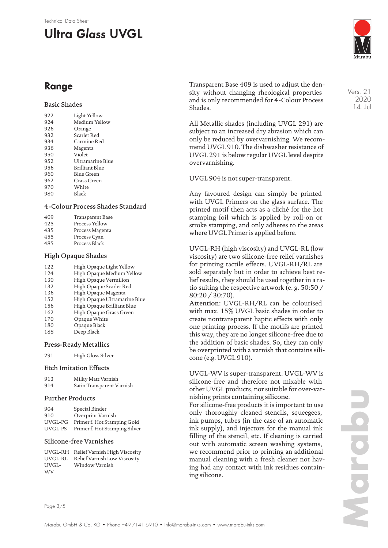#### Technical Data Sheet

# **Ultra Glass UVGL**



Vers. 21 2020 14. Jul

### **Range**

#### Basic Shades

| 922 | Light Yellow     |
|-----|------------------|
| 924 | Medium Yellow    |
| 926 | Orange           |
| 932 | Scarlet Red      |
| 934 | Carmine Red      |
| 936 | Magenta          |
| 950 | Violet           |
| 952 | Ultramarine Blue |
| 956 | Brilliant Blue   |
| 960 | Blue Green       |
| 962 | Grass Green      |
| 970 | White            |
| 980 | Black            |
|     |                  |

#### 4-Colour Process Shades Standard

| 409 | Transparent Base |
|-----|------------------|
| 425 | Process Yellow   |
| 435 | Process Magenta  |
| 455 | Process Cyan     |

485 Process Black

#### High Opaque Shades

| 122 | High Opaque Light Yellow     |
|-----|------------------------------|
| 124 | High Opaque Medium Yellow    |
| 130 | High Opaque Vermilion        |
| 132 | High Opaque Scarlet Red      |
| 136 | High Opaque Magenta          |
| 152 | High Opaque Ultramarine Blue |
| 156 | High Opaque Brilliant Blue   |
| 162 | High Opaque Grass Green      |
| 170 | Opaque White                 |
| 180 | Opaque Black                 |
| 188 | Deep Black                   |
|     |                              |

#### Press-Ready Metallics

291 High Gloss Silver

#### Etch Imitation Effects

| 913 | Milky Matt Varnish        |
|-----|---------------------------|
| 914 | Satin Transparent Varnish |

#### Further Products

| 904     | Special Binder                |
|---------|-------------------------------|
| 910     | Overprint Varnish             |
| UVGL-PG | Primer f. Hot Stamping Gold   |
| UVGL-PS | Primer f. Hot Stamping Silver |

#### Silicone-free Varnishes

UVGL-RH Relief Varnish High Viscosity UVGL-RL Relief Varnish Low Viscosity UVGL-**WV** Window Varnish

Transparent Base 409 is used to adjust the density without changing rheological properties and is only recommended for 4-Colour Process Shades.

All Metallic shades (including UVGL 291) are subject to an increased dry abrasion which can only be reduced by overvarnishing. We recommend UVGL 910. The dishwasher resistance of UVGL 291 is below regular UVGL level despite overvarnishing.

#### UVGL 904 is not super-transparent.

Any favoured design can simply be printed with UVGL Primers on the glass surface. The printed motif then acts as a cliché for the hot stamping foil which is applied by roll-on or stroke stamping, and only adheres to the areas where UVGL Primer is applied before.

UVGL-RH (high viscosity) and UVGL-RL (low viscosity) are two silicone-free relief varnishes for printing tactile effects. UVGL-RH/RL are sold separately but in order to achieve best relief results, they should be used together in a ratio suiting the respective artwork (e. g. 50:50 / 80:20 / 30:70).

Attention: UVGL-RH/RL can be colourised with max. 15% UVGL basic shades in order to create nontransparent haptic effects with only one printing process. If the motifs are printed this way, they are no longer silicone-free due to the addition of basic shades. So, they can only be overprinted with a varnish that contains silicone (e.g. UVGL 910).

UVGL-WV is super-transparent. UVGL-WV is silicone-free and therefore not mixable with other UVGL products, nor suitable for over-varnishing prints containing silicone.

For silicone-free products it is important to use only thoroughly cleaned stencils, squeegees, ink pumps, tubes (in the case of an automatic ink supply), and injectors for the manual ink filling of the stencil, etc. If cleaning is carried out with automatic screen washing systems, we recommend prior to printing an additional manual cleaning with a fresh cleaner not having had any contact with ink residues containing silicone.

Page 3/5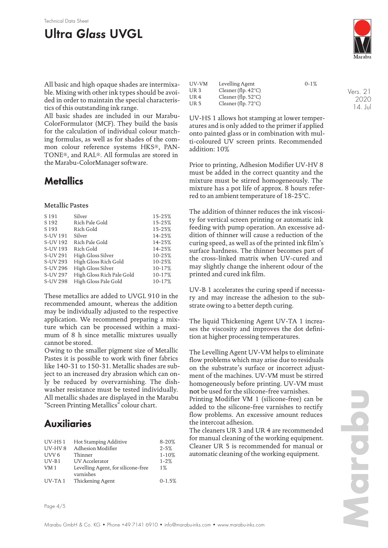# **Ultra Glass UVGL**

Technical Data Sheet

All basic and high opaque shades are intermixable. Mixing with other ink types should be avoided in order to maintain the special characteristics of this outstanding ink range.

All basic shades are included in our Marabu-ColorFormulator (MCF). They build the basis for the calculation of individual colour matching formulas, as well as for shades of the common colour reference systems HKS®, PAN-TONE®, and RAL®. All formulas are stored in the Marabu-ColorManager software.

### **Metallics**

#### Metallic Pastes

| S 191            | Silver                    | 15-25% |
|------------------|---------------------------|--------|
|                  |                           |        |
| S <sub>192</sub> | Rich Pale Gold            | 15-25% |
| S <sub>193</sub> | Rich Gold                 | 15-25% |
| S-UV 191         | Silver                    | 14-25% |
| S-UV 192         | Rich Pale Gold            | 14-25% |
| S-UV 193         | Rich Gold                 | 14-25% |
| S-UV 291         | High Gloss Silver         | 10-25% |
| S-UV 293         | High Gloss Rich Gold      | 10-25% |
| S-UV 296         | High Gloss Silver         | 10-17% |
| S-UV 297         | High Gloss Rich Pale Gold | 10-17% |
| S-UV 298         | High Gloss Pale Gold      | 10-17% |

These metallics are added to UVGL 910 in the recommended amount, whereas the addition may be individually adjusted to the respective application. We recommend preparing a mixture which can be processed within a maximum of 8 h since metallic mixtures usually cannot be stored.

Owing to the smaller pigment size of Metallic Pastes it is possible to work with finer fabrics like 140-31 to 150-31. Metallic shades are subject to an increased dry abrasion which can only be reduced by overvarnishing. The dishwasher resistance must be tested individually. All metallic shades are displayed in the Marabu "Screen Printing Metallics" colour chart.

### **Auxiliaries**

| $UV$ -HS 1       | Hot Stamping Additive              | $8 - 20%$  |
|------------------|------------------------------------|------------|
| $UV-HV8$         | Adhesion Modifier                  | $2 - 5%$   |
| UVV <sub>6</sub> | Thinner                            | $1 - 10%$  |
| $UV-B1$          | UV Accelerator                     | $1 - 2%$   |
| VM 1             | Levelling Agent, for silicone-free | $1\%$      |
|                  | varnishes                          |            |
| $UV-TA1$         | Thickening Agent                   | $0 - 1.5%$ |

| UV-VM           | Levelling Agent               | $0-1%$ |
|-----------------|-------------------------------|--------|
| UR 3            | Cleaner (flp. $42^{\circ}$ C) |        |
| UR <sub>4</sub> | Cleaner (flp. $52^{\circ}$ C) |        |
| UR 5            | Cleaner (flp. $72^{\circ}$ C) |        |

UV-HS 1 allows hot stamping at lower temperatures and is only added to the primer if applied onto painted glass or in combination with multi-coloured UV screen prints. Recommended addition: 10%

Prior to printing, Adhesion Modifier UV-HV 8 must be added in the correct quantity and the mixture must be stirred homogeneously. The mixture has a pot life of approx. 8 hours referred to an ambient temperature of 18-25°C.

The addition of thinner reduces the ink viscosity for vertical screen printing or automatic ink feeding with pump operation. An excessive addition of thinner will cause a reduction of the curing speed, as well as of the printed ink film's surface hardness. The thinner becomes part of the cross-linked matrix when UV-cured and may slightly change the inherent odour of the printed and cured ink film.

UV-B 1 accelerates the curing speed if necessary and may increase the adhesion to the substrate owing to a better depth curing.

The liquid Thickening Agent UV-TA 1 increases the viscosity and improves the dot definition at higher processing temperatures.

The Levelling Agent UV-VM helps to eliminate flow problems which may arise due to residuals on the substrate's surface or incorrect adjustment of the machines. UV-VM must be stirred homogeneously before printing. UV-VM must not be used for the silicone-free varnishes. Printing Modifier VM 1 (silicone-free) can be added to the silicone-free varnishes to rectify

flow problems. An excessive amount reduces the intercoat adhesion. The cleaners UR 3 and UR 4 are recommended

for manual cleaning of the working equipment. Cleaner UR 5 is recommended for manual or automatic cleaning of the working equipment.

14. Jul